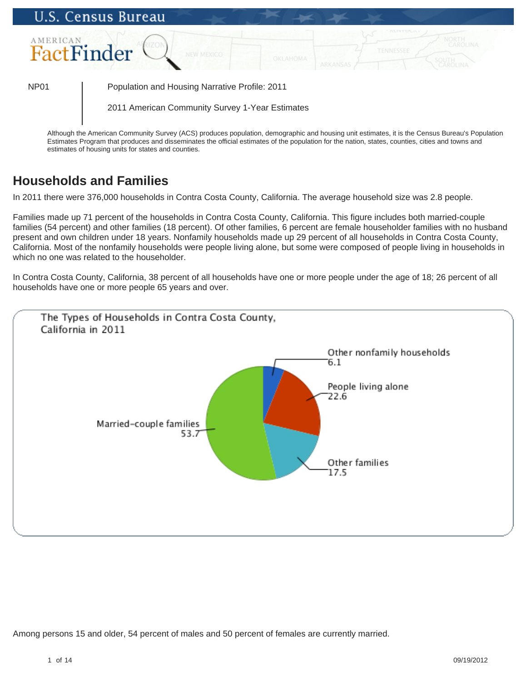

estimates of housing units for states and counties.

# **Households and Families**

In 2011 there were 376,000 households in Contra Costa County, California. The average household size was 2.8 people.

Families made up 71 percent of the households in Contra Costa County, California. This figure includes both married-couple families (54 percent) and other families (18 percent). Of other families, 6 percent are female householder families with no husband present and own children under 18 years. Nonfamily households made up 29 percent of all households in Contra Costa County, California. Most of the nonfamily households were people living alone, but some were composed of people living in households in which no one was related to the householder.

In Contra Costa County, California, 38 percent of all households have one or more people under the age of 18; 26 percent of all households have one or more people 65 years and over.



Among persons 15 and older, 54 percent of males and 50 percent of females are currently married.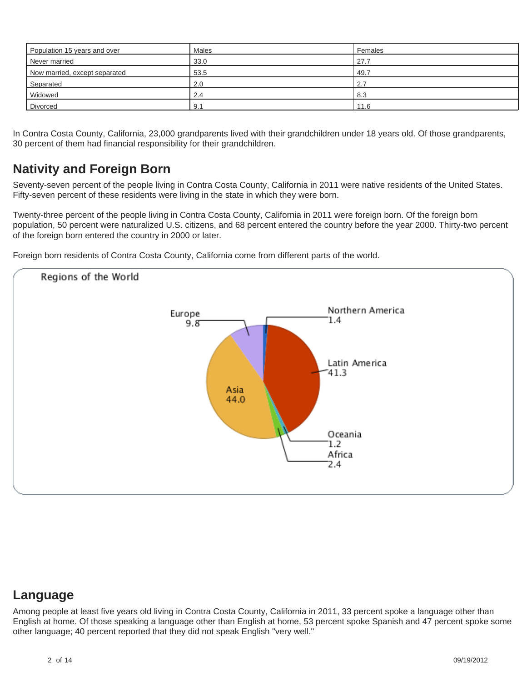| Population 15 years and over  | <b>Males</b> | Females |
|-------------------------------|--------------|---------|
| Never married                 | 33.0         | 27.7    |
| Now married, except separated | 53.5         | 49.7    |
| Separated                     | 2.0          | 2.7     |
| Widowed                       | 2.4          | 8.3     |
| Divorced                      | 9.1          | 11.6    |

In Contra Costa County, California, 23,000 grandparents lived with their grandchildren under 18 years old. Of those grandparents, 30 percent of them had financial responsibility for their grandchildren.

## **Nativity and Foreign Born**

Seventy-seven percent of the people living in Contra Costa County, California in 2011 were native residents of the United States. Fifty-seven percent of these residents were living in the state in which they were born.

Twenty-three percent of the people living in Contra Costa County, California in 2011 were foreign born. Of the foreign born population, 50 percent were naturalized U.S. citizens, and 68 percent entered the country before the year 2000. Thirty-two percent of the foreign born entered the country in 2000 or later.

Foreign born residents of Contra Costa County, California come from different parts of the world.



### **Language**

Among people at least five years old living in Contra Costa County, California in 2011, 33 percent spoke a language other than English at home. Of those speaking a language other than English at home, 53 percent spoke Spanish and 47 percent spoke some other language; 40 percent reported that they did not speak English "very well."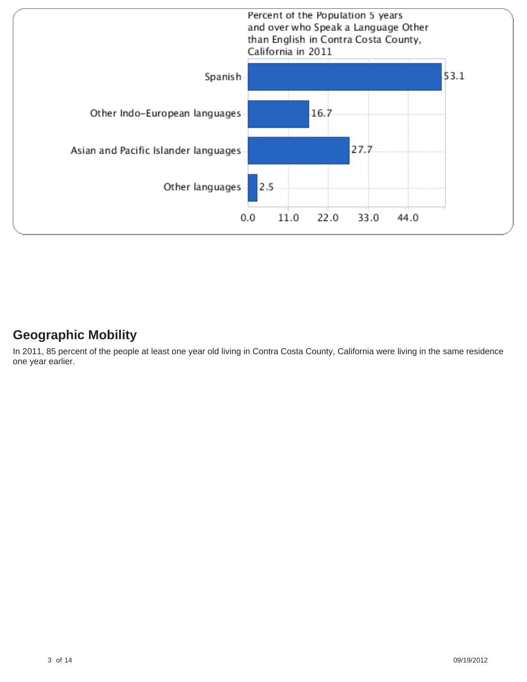

# **Geographic Mobility**

In 2011, 85 percent of the people at least one year old living in Contra Costa County, California were living in the same residence one year earlier.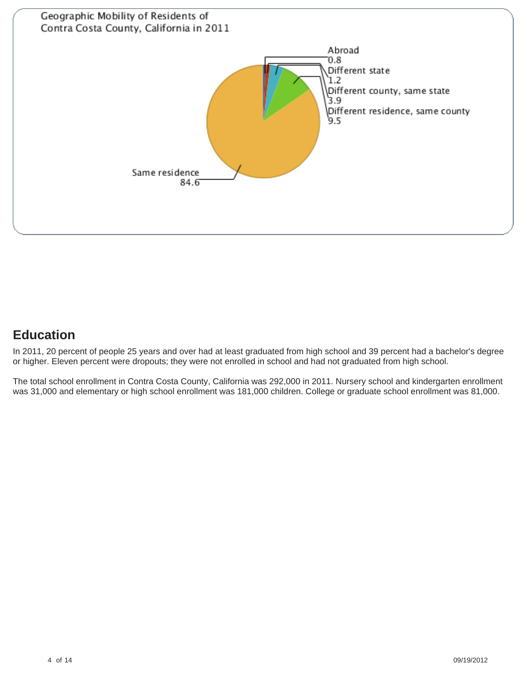

# **Education**

In 2011, 20 percent of people 25 years and over had at least graduated from high school and 39 percent had a bachelor's degree or higher. Eleven percent were dropouts; they were not enrolled in school and had not graduated from high school.

The total school enrollment in Contra Costa County, California was 292,000 in 2011. Nursery school and kindergarten enrollment was 31,000 and elementary or high school enrollment was 181,000 children. College or graduate school enrollment was 81,000.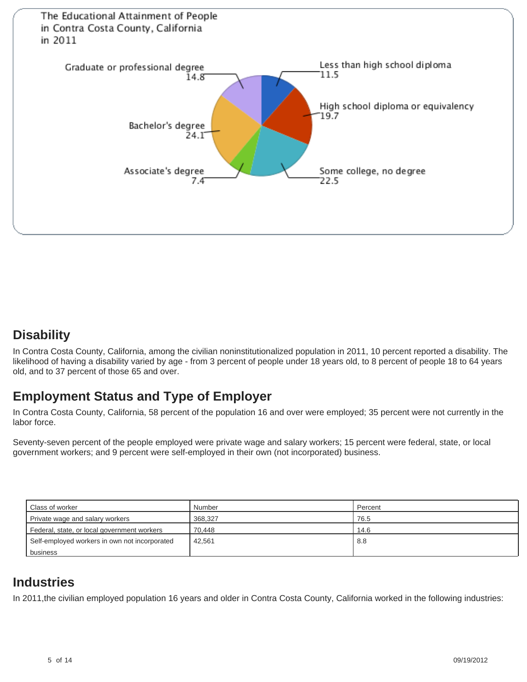

### **Disability**

In Contra Costa County, California, among the civilian noninstitutionalized population in 2011, 10 percent reported a disability. The likelihood of having a disability varied by age - from 3 percent of people under 18 years old, to 8 percent of people 18 to 64 years old, and to 37 percent of those 65 and over.

## **Employment Status and Type of Employer**

In Contra Costa County, California, 58 percent of the population 16 and over were employed; 35 percent were not currently in the labor force.

Seventy-seven percent of the people employed were private wage and salary workers; 15 percent were federal, state, or local government workers; and 9 percent were self-employed in their own (not incorporated) business.

| Class of worker                               | Number  | Percent |
|-----------------------------------------------|---------|---------|
| Private wage and salary workers               | 368.327 | 76.5    |
| Federal, state, or local government workers   | 70.448  | 14.6    |
| Self-employed workers in own not incorporated | 42.561  | 8.8     |
| business                                      |         |         |

# **Industries**

In 2011,the civilian employed population 16 years and older in Contra Costa County, California worked in the following industries: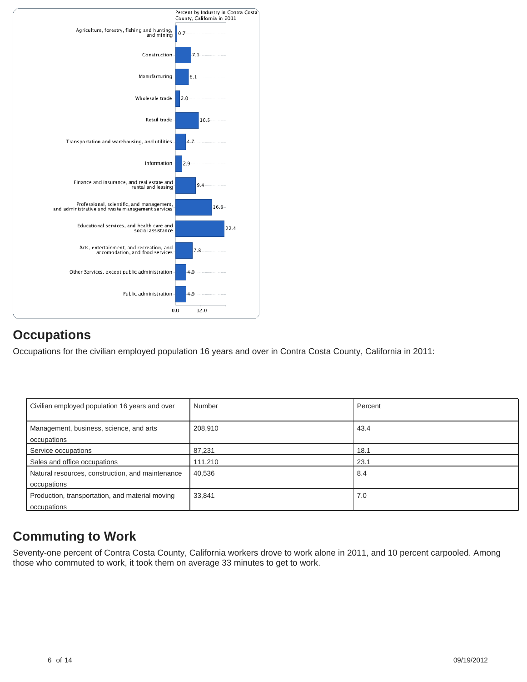

## **Occupations**

Occupations for the civilian employed population 16 years and over in Contra Costa County, California in 2011:

| Civilian employed population 16 years and over                  | Number  | Percent |
|-----------------------------------------------------------------|---------|---------|
| Management, business, science, and arts<br>occupations          | 208,910 | 43.4    |
| Service occupations                                             | 87,231  | 18.1    |
| Sales and office occupations                                    | 111,210 | 23.1    |
| Natural resources, construction, and maintenance<br>occupations | 40,536  | 8.4     |
| Production, transportation, and material moving<br>occupations  | 33,841  | 7.0     |

# **Commuting to Work**

Seventy-one percent of Contra Costa County, California workers drove to work alone in 2011, and 10 percent carpooled. Among those who commuted to work, it took them on average 33 minutes to get to work.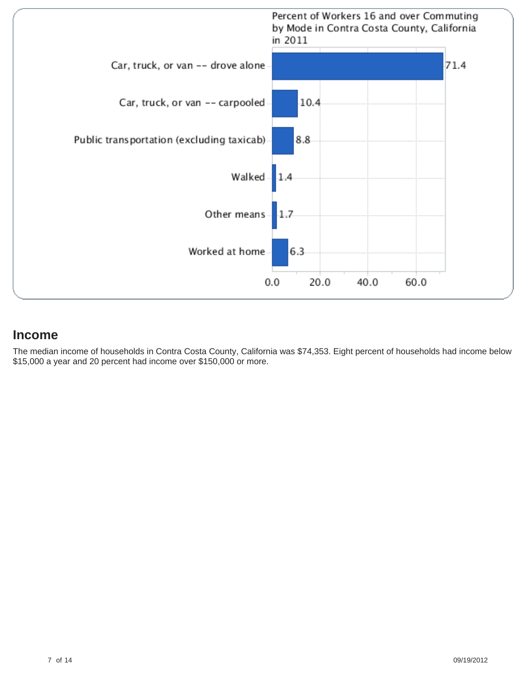

### **Income**

The median income of households in Contra Costa County, California was \$74,353. Eight percent of households had income below \$15,000 a year and 20 percent had income over \$150,000 or more.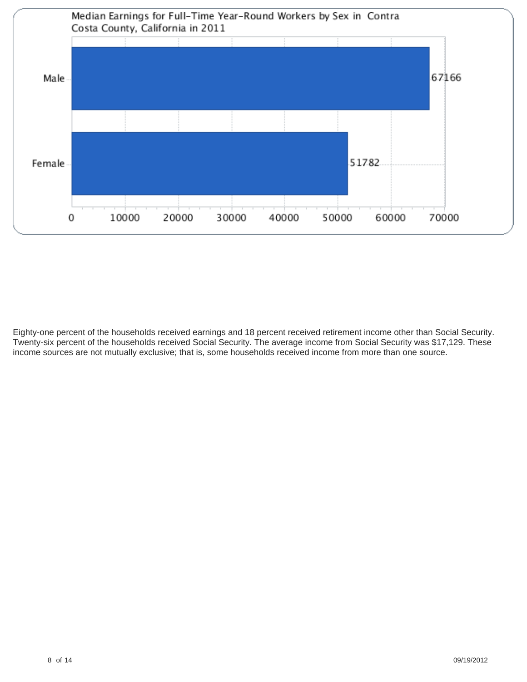

Eighty-one percent of the households received earnings and 18 percent received retirement income other than Social Security. Twenty-six percent of the households received Social Security. The average income from Social Security was \$17,129. These income sources are not mutually exclusive; that is, some households received income from more than one source.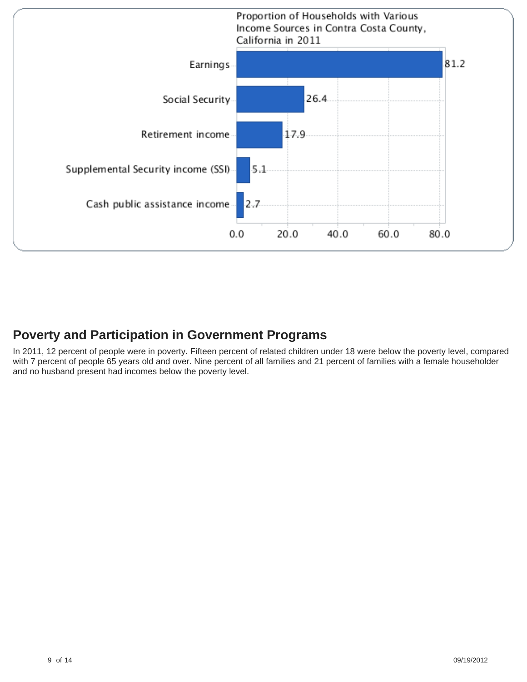

## **Poverty and Participation in Government Programs**

In 2011, 12 percent of people were in poverty. Fifteen percent of related children under 18 were below the poverty level, compared with 7 percent of people 65 years old and over. Nine percent of all families and 21 percent of families with a female householder and no husband present had incomes below the poverty level.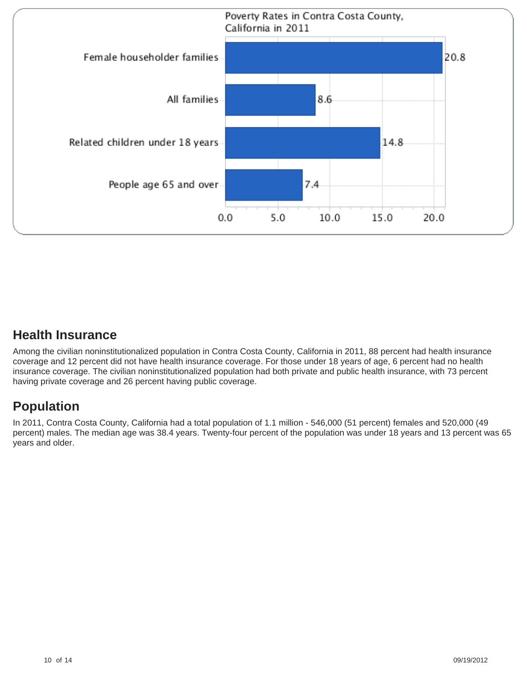

## **Health Insurance**

Among the civilian noninstitutionalized population in Contra Costa County, California in 2011, 88 percent had health insurance coverage and 12 percent did not have health insurance coverage. For those under 18 years of age, 6 percent had no health insurance coverage. The civilian noninstitutionalized population had both private and public health insurance, with 73 percent having private coverage and 26 percent having public coverage.

# **Population**

In 2011, Contra Costa County, California had a total population of 1.1 million - 546,000 (51 percent) females and 520,000 (49 percent) males. The median age was 38.4 years. Twenty-four percent of the population was under 18 years and 13 percent was 65 years and older.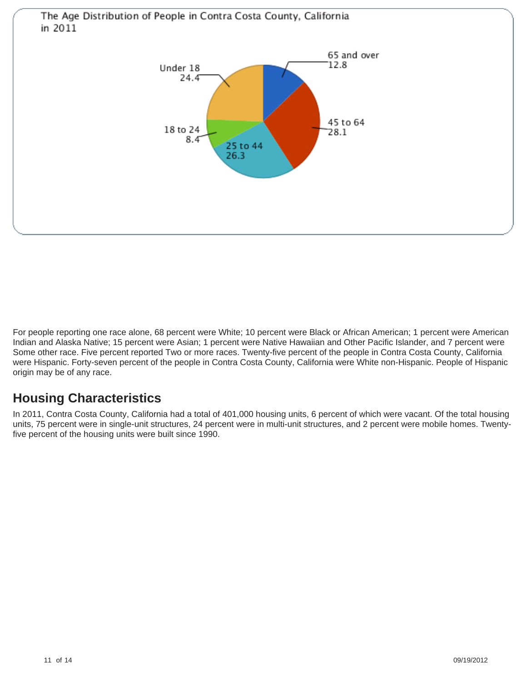

For people reporting one race alone, 68 percent were White; 10 percent were Black or African American; 1 percent were American Indian and Alaska Native; 15 percent were Asian; 1 percent were Native Hawaiian and Other Pacific Islander, and 7 percent were Some other race. Five percent reported Two or more races. Twenty-five percent of the people in Contra Costa County, California were Hispanic. Forty-seven percent of the people in Contra Costa County, California were White non-Hispanic. People of Hispanic origin may be of any race.

# **Housing Characteristics**

In 2011, Contra Costa County, California had a total of 401,000 housing units, 6 percent of which were vacant. Of the total housing units, 75 percent were in single-unit structures, 24 percent were in multi-unit structures, and 2 percent were mobile homes. Twentyfive percent of the housing units were built since 1990.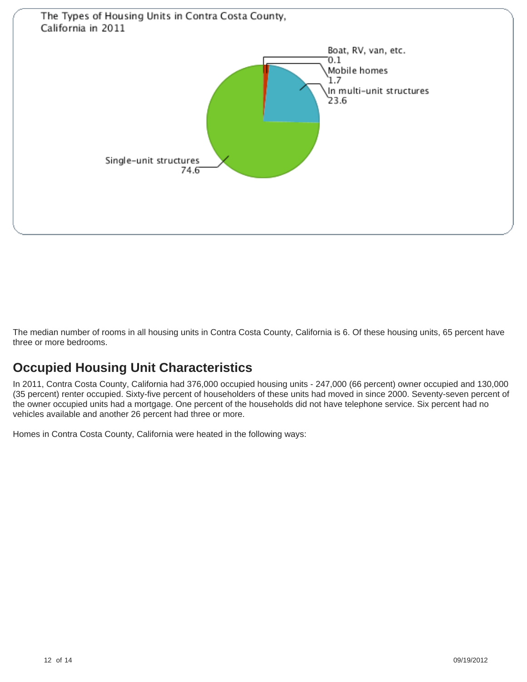

The median number of rooms in all housing units in Contra Costa County, California is 6. Of these housing units, 65 percent have three or more bedrooms.

## **Occupied Housing Unit Characteristics**

In 2011, Contra Costa County, California had 376,000 occupied housing units - 247,000 (66 percent) owner occupied and 130,000 (35 percent) renter occupied. Sixty-five percent of householders of these units had moved in since 2000. Seventy-seven percent of the owner occupied units had a mortgage. One percent of the households did not have telephone service. Six percent had no vehicles available and another 26 percent had three or more.

Homes in Contra Costa County, California were heated in the following ways: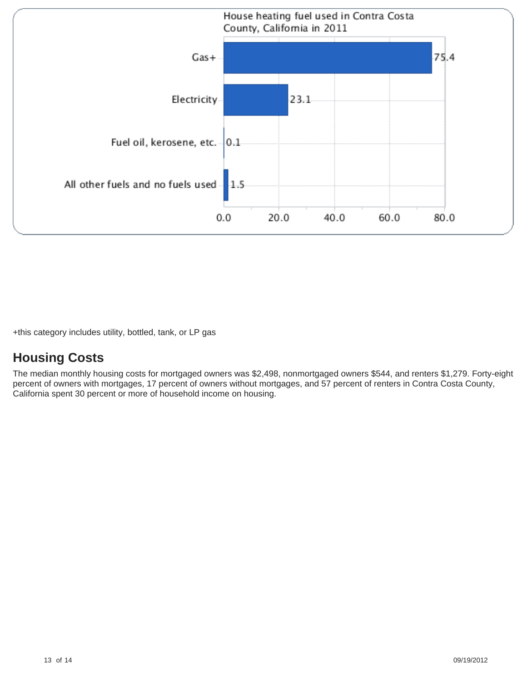

+this category includes utility, bottled, tank, or LP gas

## **Housing Costs**

The median monthly housing costs for mortgaged owners was \$2,498, nonmortgaged owners \$544, and renters \$1,279. Forty-eight percent of owners with mortgages, 17 percent of owners without mortgages, and 57 percent of renters in Contra Costa County, California spent 30 percent or more of household income on housing.